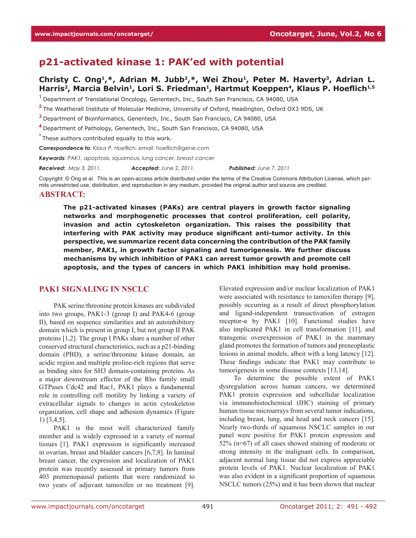# **p21-activated kinase 1: PAK'ed with potential**

## Christy C. Ong<sup>1</sup>,\*, Adrian M. Jubb<sup>2</sup>,\*, Wei Zhou<sup>1</sup>, Peter M. Haverty<sup>3</sup>, Adrian L. **Harris2, Marcia Belvin1, Lori S. Friedman1, Hartmut Koeppen4, Klaus P. Hoeflich1,5**

**<sup>1</sup>**Department of Translational Oncology, Genentech, Inc., South San Francisco, CA 94080, USA

**<sup>2</sup>**The Weatherall Institute of Molecular Medicine, University of Oxford, Headington, Oxford OX3 9DS, UK

**<sup>3</sup>**Department of Bioinformatics, Genentech, Inc., South San Francisco, CA 94080, USA

**<sup>4</sup>**Department of Pathology, Genentech, Inc., South San Francisco, CA 94080, USA

**\*** These authors contributed equally to this work.

*Correspondence to: Klaus P. Hoeflich, email: hoeflich@gene.com*

*Keywords: PAK1, apoptosis, squamous, lung cancer, breast cancer*

*Received: May 3, 2011, Accepted: June 2, 2011, Published: June 7, 2011*

Copyright: © Ong et al. This is an open-access article distributed under the terms of the Creative Commons Attribution License, which permits unrestricted use, distribution, and reproduction in any medium, provided the original author and source are credited.

#### **Abstract:**

**The p21-activated kinases (PAKs) are central players in growth factor signaling networks and morphogenetic processes that control proliferation, cell polarity, invasion and actin cytoskeleton organization. This raises the possibility that interfering with PAK activity may produce significant anti-tumor activity. In this perspective, we summarize recent data concerning the contribution of the PAK family member, PAK1, in growth factor signaling and tumorigenesis. We further discuss mechanisms by which inhibition of PAK1 can arrest tumor growth and promote cell apoptosis, and the types of cancers in which PAK1 inhibition may hold promise.**

#### **PAK1 signaling in NSCLC**

PAK serine/threonine protein kinases are subdivided into two groups, PAK1-3 (group I) and PAK4-6 (group II), based on sequence similarities and an autoinhibitory domain which is present in group I, but not group II PAK proteins [1,2]. The group I PAKs share a number of other conserved structural characteristics, such as a p21-binding domain (PBD), a serine/threonine kinase domain, an acidic region and multiple proline-rich regions that serve as binding sites for SH3 domain-containing proteins. As a major downstream effector of the Rho family small GTPases Cdc42 and Rac1, PAK1 plays a fundamental role in controlling cell motility by linking a variety of extracellular signals to changes in actin cytoskeleton organization, cell shape and adhesion dynamics (Figure 1) [3,4,5].

PAK1 is the most well characterized family member and is widely expressed in a variety of normal tissues [1]. PAK1 expression is significantly increased in ovarian, breast and bladder cancers [6,7,8]. In luminal breast cancer, the expression and localization of PAK1 protein was recently assessed in primary tumors from 403 premenopausal patients that were randomized to two years of adjuvant tamoxifen or no treatment [9]. Elevated expression and/or nuclear localization of PAK1 were associated with resistance to tamoxifen therapy [9], possibly occurring as a result of direct phosphorylation and ligand-independent transactivation of estrogen receptor- $\alpha$  by PAK1 [10]. Functional studies have also implicated PAK1 in cell transformation [11], and transgenic overexpression of PAK1 in the mammary gland promotes the formation of tumors and preneoplastic lesions in animal models, albeit with a long latency [12]. These findings indicate that PAK1 may contribute to tumorigenesis in some disease contexts [13,14].

To determine the possible extent of PAK1 dysregulation across human cancers, we determined PAK1 protein expression and subcellular localization via immunohistochemical (IHC) staining of primary human tissue microarrays from several tumor indications, including breast, lung, and head and neck cancers [15]. Nearly two-thirds of squamous NSCLC samples in our panel were positive for PAK1 protein expression and 52% (n=67) of all cases showed staining of moderate or strong intensity in the malignant cells. In comparison, adjacent normal lung tissue did not express appreciable protein levels of PAK1. Nuclear localization of PAK1 was also evident in a significant proportion of squamous NSCLC tumors (25%) and it has been shown that nuclear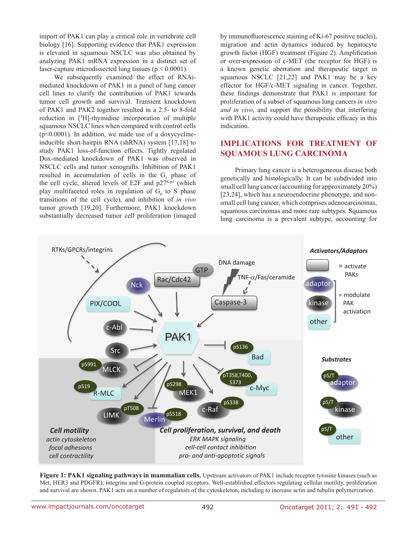import of PAK1 can play a critical role in vertebrate cell biology [16]. Supporting evidence that PAK1 expression is elevated in squamous NSCLC was also obtained by analyzing PAK1 mRNA expression in a distinct set of laser-capture microdissected lung tissues ( $p \le 0.0001$ ).

We subsequently examined the effect of RNAimediated knockdown of PAK1 in a panel of lung cancer cell lines to clarify the contribution of PAK1 towards tumor cell growth and survival. Transient knockdown of PAK1 and PAK2 together resulted in a 2.5- to 8-fold reduction in [3 H]-thymidine incorporation of multiple squamous NSCLC lines when compared with control cells (p<0.0001). In addition, we made use of a doxycyclineinducible short-hairpin RNA (shRNA) system [17,18] to study PAK1 loss-of-function effects. Tightly regulated Dox-mediated knockdown of PAK1 was observed in NSCLC cells and tumor xenografts. Inhibition of PAK1 resulted in accumulation of cells in the  $G_1$  phase of the cell cycle, altered levels of E2F and  $p27^{kip1}$  (which play multifaceted roles in regulation of  $G_0$  to S phase transitions of the cell cycle), and inhibition of *in vivo*  tumor growth [19,20]. Furthermore, PAK1 knockdown substantially decreased tumor cell proliferation (imaged

by immunofluorescence staining of Ki-67 positive nuclei), migration and actin dynamics induced by hepatocyte growth factor (HGF) treatment (Figure 2). Amplification or over-expression of c-MET (the receptor for HGF) is a known genetic aberration and therapeutic target in squamous NSCLC [21,22] and PAK1 may be a key effector for HGF/c-MET signaling in cancer. Together, these findings demonstrate that PAK1 is important for proliferation of a subset of squamous lung cancers *in vitro and in vivo*, and support the possibility that interfering with PAK1 activity could have therapeutic efficacy in this indication.

### **Implications for treatment of squamous lung carcinoma**

Primary lung cancer is a heterogeneous disease both genetically and histologically. It can be subdivided into small cell lung cancer (accounting for approximately 20%) [23,24], which has a neuroendocrine phenotype, and nonsmall cell lung cancer, which comprises adenocarcinomas, squamous carcinomas and more rare subtypes. Squamous lung carcinoma is a prevalent subtype, accounting for



**Figure 1: PAK1 signaling pathways in mammalian cells.** Upstream activators of PAK1 include receptor tyrosine kinases (such as Met, HER3 and PDGFR), integrins and G-protein coupled receptors. Well-established effectors regulating cellular motility, proliferation and survival are shown. PAK1 acts on a number of regulators of the cytoskeleton, including to increase actin and tubulin polymerization.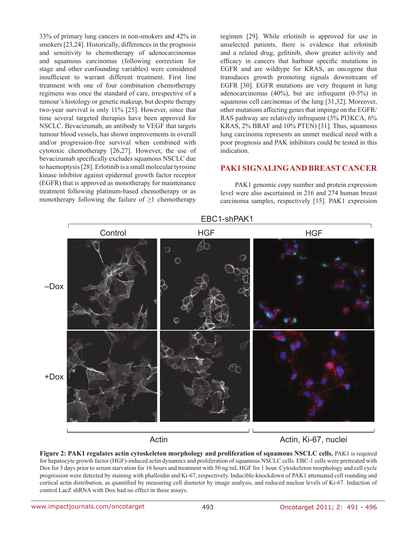33% of primary lung cancers in non-smokers and 42% in smokers [23,24]. Historically, differences in the prognosis and sensitivity to chemotherapy of adenocarcinomas and squamous carcinomas (following correction for stage and other confounding variables) were considered insufficient to warrant different treatment. First line treatment with one of four combination chemotherapy regimens was once the standard of care, irrespective of a tumour's histology or genetic makeup, but despite therapy two-year survival is only 11% [25]. However, since that time several targeted therapies have been approved for NSCLC. Bevacizumab, an antibody to VEGF that targets tumour blood vessels, has shown improvements in overall and/or progression-free survival when combined with cytotoxic chemotherapy [26,27]. However, the use of bevacizumab specifically excludes squamous NSCLC due to haemoptysis [28]. Erlotinib is a small molecular tyrosine kinase inhibitor against epidermal growth factor receptor (EGFR) that is approved as monotherapy for maintenance treatment following platinum-based chemotherapy or as monotherapy following the failure of  $\geq 1$  chemotherapy

regimen [29]. While erlotinib is approved for use in unselected patients, there is evidence that erlotinib and a related drug, gefitinib, show greater activity and efficacy in cancers that harbour specific mutations in EGFR and are wildtype for KRAS, an oncogene that transduces growth promoting signals downstream of EGFR [30]. EGFR mutations are very frequent in lung adenocarcinomas (40%), but are infrequent (0-5%) in squamous cell carcinomas of the lung [31,32]. Moreover, other mutations affecting genes that impinge on the EGFR/ RAS pathway are relatively infrequent (3% PI3KCA, 6% KRAS, 2% BRAF and 10% PTEN) [31]. Thus, squamous lung carcinoma represents an unmet medical need with a poor prognosis and PAK inhibitors could be tested in this indication.

#### **PAK1 signaling and breast cancer**

PAK1 genomic copy number and protein expression level were also ascertained in 216 and 274 human breast carcinoma samples, respectively [15]. PAK1 expression



Actin Actin, Ki-67, nuclei

**Figure 2: PAK1 regulates actin cytoskeleton morphology and proliferation of squamous NSCLC cells.** PAK1 is required for hepatocyte growth factor (HGF)-induced actin dynamics and proliferation of squamous NSCLC cells. EBC-1 cells were pretreated with Dox for 3 days prior to serum starvation for 16 hours and treatment with 50 ng/mL HGF for 1 hour. Cytoskeleton morphology and cell cycle progression were detected by staining with phalloidin and Ki-67, respectively. Inducible-knockdown of PAK1 attenuated cell rounding and cortical actin distribution, as quantified by measuring cell diameter by image analysis, and reduced nuclear levels of Ki-67. Induction of control LacZ shRNA with Dox had no effect in these assays.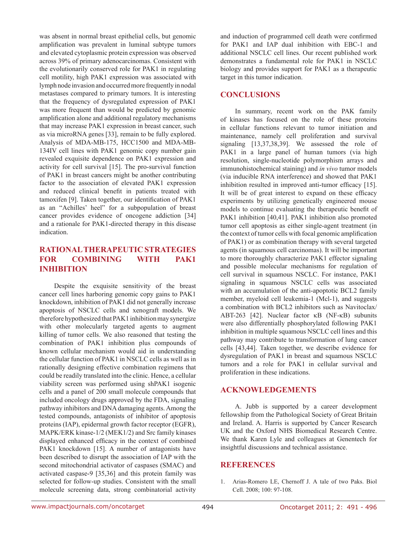was absent in normal breast epithelial cells, but genomic amplification was prevalent in luminal subtype tumors and elevated cytoplasmic protein expression was observed across 39% of primary adenocarcinomas. Consistent with the evolutionarily conserved role for PAK1 in regulating cell motility, high PAK1 expression was associated with lymph node invasion and occurred more frequently in nodal metastases compared to primary tumors. It is interesting that the frequency of dysregulated expression of PAK1 was more frequent than would be predicted by genomic amplification alone and additional regulatory mechanisms that may increase PAK1 expression in breast cancer, such as via microRNA genes [33], remain to be fully explored. Analysis of MDA-MB-175, HCC1500 and MDA-MB-134IV cell lines with PAK1 genomic copy number gain revealed exquisite dependence on PAK1 expression and activity for cell survival [15]. The pro-survival function of PAK1 in breast cancers might be another contributing factor to the association of elevated PAK1 expression and reduced clinical benefit in patients treated with tamoxifen [9]. Taken together, our identification of PAK1 as an "Achilles' heel" for a subpopulation of breast cancer provides evidence of oncogene addiction [34] and a rationale for PAK1-directed therapy in this disease indication.

## **Rational therapeutic strategies for combining with PAK1 inhibition**

Despite the exquisite sensitivity of the breast cancer cell lines harboring genomic copy gains to PAK1 knockdown, inhibition of PAK1 did not generally increase apoptosis of NSCLC cells and xenograft models. We therefore hypothesized that PAK1 inhibition may synergize with other molecularly targeted agents to augment killing of tumor cells. We also reasoned that testing the combination of PAK1 inhibition plus compounds of known cellular mechanism would aid in understanding the cellular function of PAK1 in NSCLC cells as well as in rationally designing effective combination regimens that could be readily translated into the clinic. Hence, a cellular viability screen was performed using shPAK1 isogenic cells and a panel of 200 small molecule compounds that included oncology drugs approved by the FDA, signaling pathway inhibitors and DNA damaging agents. Among the tested compounds, antagonists of inhibitor of apoptosis proteins (IAP), epidermal growth factor receptor (EGFR), MAPK/ERK kinase-1/2 (MEK1/2) and Src family kinases displayed enhanced efficacy in the context of combined PAK1 knockdown [15]. A number of antagonists have been described to disrupt the association of IAP with the second mitochondrial activator of caspases (SMAC) and activated caspase-9 [35,36] and this protein family was selected for follow-up studies. Consistent with the small molecule screening data, strong combinatorial activity

and induction of programmed cell death were confirmed for PAK1 and IAP dual inhibition with EBC-1 and additional NSCLC cell lines. Our recent published work demonstrates a fundamental role for PAK1 in NSCLC biology and provides support for PAK1 as a therapeutic target in this tumor indication.

#### **Conclusions**

In summary, recent work on the PAK family of kinases has focused on the role of these proteins in cellular functions relevant to tumor initiation and maintenance, namely cell proliferation and survival signaling [13,37,38,39]. We assessed the role of PAK1 in a large panel of human tumors (via high resolution, single-nucleotide polymorphism arrays and immunohistochemical staining) and *in vivo* tumor models (via inducible RNA interference) and showed that PAK1 inhibition resulted in improved anti-tumor efficacy [15]. It will be of great interest to expand on these efficacy experiments by utilizing genetically engineered mouse models to continue evaluating the therapeutic benefit of PAK1 inhibition [40,41]. PAK1 inhibition also promoted tumor cell apoptosis as either single-agent treatment (in the context of tumor cells with focal genomic amplification of PAK1) or as combination therapy with several targeted agents (in squamous cell carcinomas). It will be important to more thoroughly characterize PAK1 effector signaling and possible molecular mechanisms for regulation of cell survival in squamous NSCLC. For instance, PAK1 signaling in squamous NSCLC cells was associated with an accumulation of the anti-apoptotic BCL2 family member, myeloid cell leukemia-1 (Mcl-1), and suggests a combination with BCL2 inhibitors such as Navitoclax/ ABT-263 [42]. Nuclear factor κB (NF-κB) subunits were also differentially phosphorylated following PAK1 inhibition in multiple squamous NSCLC cell lines and this pathway may contribute to transformation of lung cancer cells [43,44]. Taken together, we describe evidence for dysregulation of PAK1 in breast and squamous NSCLC tumors and a role for PAK1 in cellular survival and proliferation in these indications.

### **Acknowledgements**

A. Jubb is supported by a career development fellowship from the Pathological Society of Great Britain and Ireland. A. Harris is supported by Cancer Research UK and the Oxford NHS Biomedical Research Centre. We thank Karen Lyle and colleagues at Genentech for insightful discussions and technical assistance.

### **References**

1. Arias-Romero LE, Chernoff J. A tale of two Paks. Biol Cell. 2008; 100: 97-108.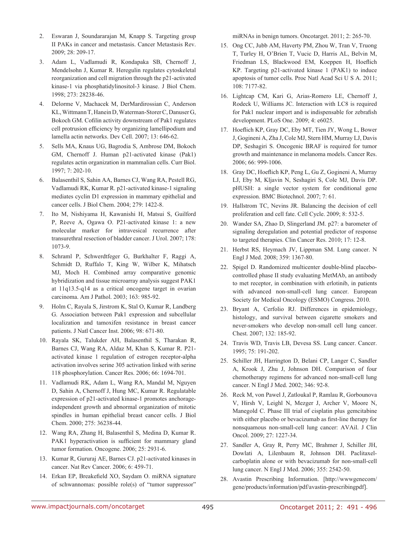- 2. Eswaran J, Soundararajan M, Knapp S. Targeting group II PAKs in cancer and metastasis. Cancer Metastasis Rev. 2009; 28: 209-17.
- 3. Adam L, Vadlamudi R, Kondapaka SB, Chernoff J, Mendelsohn J, Kumar R. Heregulin regulates cytoskeletal reorganization and cell migration through the p21-activated kinase-1 via phosphatidylinositol-3 kinase. J Biol Chem. 1998; 273: 28238-46.
- 4. Delorme V, Machacek M, DerMardirossian C, Anderson KL, Wittmann T, Hanein D, Waterman-Storer C, Danuser G, Bokoch GM. Cofilin activity downstream of Pak1 regulates cell protrusion efficiency by organizing lamellipodium and lamella actin networks. Dev Cell. 2007; 13: 646-62.
- 5. Sells MA, Knaus UG, Bagrodia S, Ambrose DM, Bokoch GM, Chernoff J. Human p21-activated kinase (Pak1) regulates actin organization in mammalian cells. Curr Biol. 1997; 7: 202-10.
- 6. Balasenthil S, Sahin AA, Barnes CJ, Wang RA, Pestell RG, Vadlamudi RK, Kumar R. p21-activated kinase-1 signaling mediates cyclin D1 expression in mammary epithelial and cancer cells. J Biol Chem. 2004; 279: 1422-8.
- 7. Ito M, Nishiyama H, Kawanishi H, Matsui S, Guilford P, Reeve A, Ogawa O. P21-activated kinase 1: a new molecular marker for intravesical recurrence after transurethral resection of bladder cancer. J Urol. 2007; 178: 1073-9.
- 8. Schraml P, Schwerdtfeger G, Burkhalter F, Raggi A, Schmidt D, Ruffalo T, King W, Wilber K, Mihatsch MJ, Moch H. Combined array comparative genomic hybridization and tissue microarray analysis suggest PAK1 at 11q13.5-q14 as a critical oncogene target in ovarian carcinoma. Am J Pathol. 2003; 163: 985-92.
- 9. Holm C, Rayala S, Jirstrom K, Stal O, Kumar R, Landberg G. Association between Pak1 expression and subcellular localization and tamoxifen resistance in breast cancer patients. J Natl Cancer Inst. 2006; 98: 671-80.
- 10. Rayala SK, Talukder AH, Balasenthil S, Tharakan R, Barnes CJ, Wang RA, Aldaz M, Khan S, Kumar R. P21 activated kinase 1 regulation of estrogen receptor-alpha activation involves serine 305 activation linked with serine 118 phosphorylation. Cancer Res. 2006; 66: 1694-701.
- 11. Vadlamudi RK, Adam L, Wang RA, Mandal M, Nguyen D, Sahin A, Chernoff J, Hung MC, Kumar R. Regulatable expression of p21-activated kinase-1 promotes anchorageindependent growth and abnormal organization of mitotic spindles in human epithelial breast cancer cells. J Biol Chem. 2000; 275: 36238-44.
- 12. Wang RA, Zhang H, Balasenthil S, Medina D, Kumar R. PAK1 hyperactivation is sufficient for mammary gland tumor formation. Oncogene. 2006; 25: 2931-6.
- 13. Kumar R, Gururaj AE, Barnes CJ. p21-activated kinases in cancer. Nat Rev Cancer. 2006; 6: 459-71.
- 14. Erkan EP, Breakefield XO, Saydam O. miRNA signature of schwannomas: possible role(s) of "tumor suppressor"

miRNAs in benign tumors. Oncotarget. 2011; 2: 265-70.

- 15. Ong CC, Jubb AM, Haverty PM, Zhou W, Tran V, Truong T, Turley H, O'Brien T, Vucic D, Harris AL, Belvin M, Friedman LS, Blackwood EM, Koeppen H, Hoeflich KP. Targeting p21-activated kinase 1 (PAK1) to induce apoptosis of tumor cells. Proc Natl Acad Sci U S A. 2011; 108: 7177-82.
- 16. Lightcap CM, Kari G, Arias-Romero LE, Chernoff J, Rodeck U, Williams JC. Interaction with LC8 is required for Pak1 nuclear import and is indispensable for zebrafish development. PLoS One. 2009; 4: e6025.
- 17. Hoeflich KP, Gray DC, Eby MT, Tien JY, Wong L, Bower J, Gogineni A, Zha J, Cole MJ, Stern HM, Murray LJ, Davis DP, Seshagiri S. Oncogenic BRAF is required for tumor growth and maintenance in melanoma models. Cancer Res. 2006; 66: 999-1006.
- 18. Gray DC, Hoeflich KP, Peng L, Gu Z, Gogineni A, Murray LJ, Eby M, Kljavin N, Seshagiri S, Cole MJ, Davis DP. pHUSH: a single vector system for conditional gene expression. BMC Biotechnol. 2007; 7: 61.
- 19. Hallstrom TC, Nevins JR. Balancing the decision of cell proliferation and cell fate. Cell Cycle. 2009; 8: 532-5.
- 20. Wander SA, Zhao D, Slingerland JM. p27: a barometer of signaling deregulation and potential predictor of response to targeted therapies. Clin Cancer Res. 2010; 17: 12-8.
- 21. Herbst RS, Heymach JV, Lippman SM. Lung cancer. N Engl J Med. 2008; 359: 1367-80.
- 22. Spigel D. Randomized multicenter double-blind placebocontrolled phase II study evaluating MetMAb, an antibody to met receptor, in combination with erlotinib, in patients with advanced non-small-cell lung cancer. European Society for Medical Oncology (ESMO) Congress. 2010.
- 23. Bryant A, Cerfolio RJ. Differences in epidemiology, histology, and survival between cigarette smokers and never-smokers who develop non-small cell lung cancer. Chest. 2007; 132: 185-92.
- 24. Travis WD, Travis LB, Devesa SS. Lung cancer. Cancer. 1995; 75: 191-202.
- 25. Schiller JH, Harrington D, Belani CP, Langer C, Sandler A, Krook J, Zhu J, Johnson DH. Comparison of four chemotherapy regimens for advanced non-small-cell lung cancer. N Engl J Med. 2002; 346: 92-8.
- 26. Reck M, von Pawel J, Zatloukal P, Ramlau R, Gorbounova V, Hirsh V, Leighl N, Mezger J, Archer V, Moore N, Manegold C. Phase III trial of cisplatin plus gemcitabine with either placebo or bevacizumab as first-line therapy for nonsquamous non-small-cell lung cancer: AVAil. J Clin Oncol. 2009; 27: 1227-34.
- 27. Sandler A, Gray R, Perry MC, Brahmer J, Schiller JH, Dowlati A, Lilenbaum R, Johnson DH. Paclitaxelcarboplatin alone or with bevacizumab for non-small-cell lung cancer. N Engl J Med. 2006; 355: 2542-50.
- 28. Avastin Prescribing Information. [http://wwwgenecom/ gene/products/information/pdf/avastin-prescribingpdf].